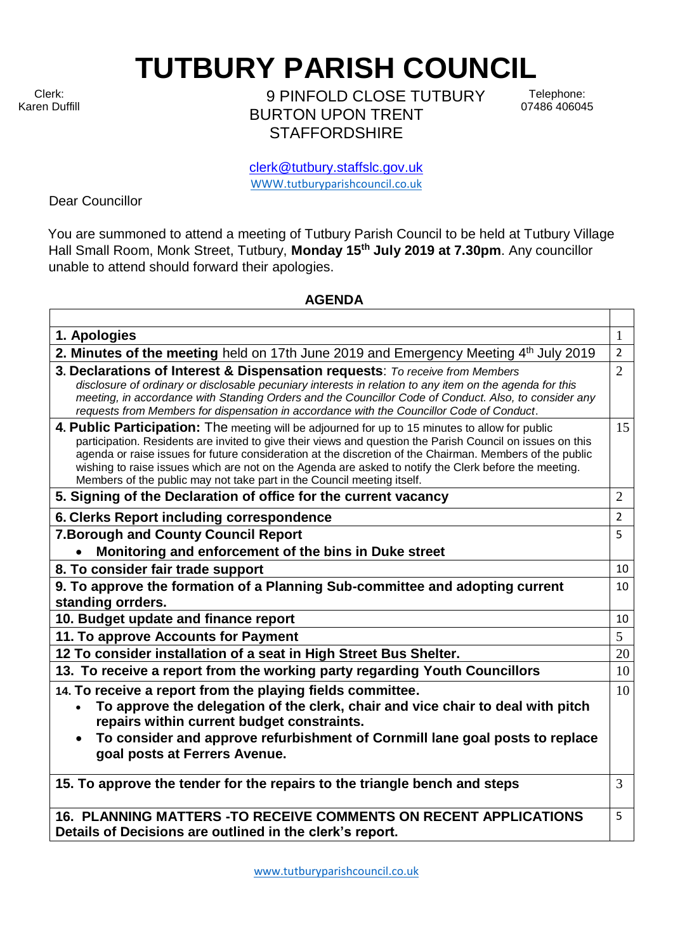Clerk: Karen Duffill

 $\Gamma$ 

**TUTBURY PARISH COUNCIL** 

9 PINFOLD CLOSE TUTBURY BURTON UPON TRENT **STAFFORDSHIRE** 

Telephone: 07486 406045

clerk@tutbury.staffslc.gov.uk [WWW.tutburyparishcouncil.co.uk](http://www.tutburyparishcouncil.co.uk/)

Dear Councillor

You are summoned to attend a meeting of Tutbury Parish Council to be held at Tutbury Village Hall Small Room, Monk Street, Tutbury, **Monday 15 th July 2019 at 7.30pm**. Any councillor unable to attend should forward their apologies.

## **AGENDA**

| 1. Apologies                                                                                                                                                                                                                                                                                                                                                                                                                                                                                                 | $\mathbf{1}$    |
|--------------------------------------------------------------------------------------------------------------------------------------------------------------------------------------------------------------------------------------------------------------------------------------------------------------------------------------------------------------------------------------------------------------------------------------------------------------------------------------------------------------|-----------------|
| 2. Minutes of the meeting held on 17th June 2019 and Emergency Meeting 4 <sup>th</sup> July 2019                                                                                                                                                                                                                                                                                                                                                                                                             | $\overline{2}$  |
| 3. Declarations of Interest & Dispensation requests: To receive from Members<br>disclosure of ordinary or disclosable pecuniary interests in relation to any item on the agenda for this<br>meeting, in accordance with Standing Orders and the Councillor Code of Conduct. Also, to consider any<br>requests from Members for dispensation in accordance with the Councillor Code of Conduct.                                                                                                               | $\overline{2}$  |
| 4. Public Participation: The meeting will be adjourned for up to 15 minutes to allow for public<br>participation. Residents are invited to give their views and question the Parish Council on issues on this<br>agenda or raise issues for future consideration at the discretion of the Chairman. Members of the public<br>wishing to raise issues which are not on the Agenda are asked to notify the Clerk before the meeting.<br>Members of the public may not take part in the Council meeting itself. | 15              |
| 5. Signing of the Declaration of office for the current vacancy                                                                                                                                                                                                                                                                                                                                                                                                                                              | $\overline{2}$  |
| 6. Clerks Report including correspondence                                                                                                                                                                                                                                                                                                                                                                                                                                                                    | $\overline{2}$  |
| 7. Borough and County Council Report                                                                                                                                                                                                                                                                                                                                                                                                                                                                         | 5               |
| Monitoring and enforcement of the bins in Duke street                                                                                                                                                                                                                                                                                                                                                                                                                                                        |                 |
| 8. To consider fair trade support                                                                                                                                                                                                                                                                                                                                                                                                                                                                            | 10              |
| 9. To approve the formation of a Planning Sub-committee and adopting current<br>standing orrders.                                                                                                                                                                                                                                                                                                                                                                                                            | 10              |
| 10. Budget update and finance report                                                                                                                                                                                                                                                                                                                                                                                                                                                                         | 10              |
| 11. To approve Accounts for Payment                                                                                                                                                                                                                                                                                                                                                                                                                                                                          | $5\overline{)}$ |
| 12 To consider installation of a seat in High Street Bus Shelter.                                                                                                                                                                                                                                                                                                                                                                                                                                            | 20              |
| 13. To receive a report from the working party regarding Youth Councillors                                                                                                                                                                                                                                                                                                                                                                                                                                   | 10              |
| 14. To receive a report from the playing fields committee.<br>To approve the delegation of the clerk, chair and vice chair to deal with pitch<br>repairs within current budget constraints.<br>To consider and approve refurbishment of Cornmill lane goal posts to replace<br>goal posts at Ferrers Avenue.                                                                                                                                                                                                 | 10              |
| 15. To approve the tender for the repairs to the triangle bench and steps                                                                                                                                                                                                                                                                                                                                                                                                                                    | 3               |
| 16. PLANNING MATTERS - TO RECEIVE COMMENTS ON RECENT APPLICATIONS<br>Details of Decisions are outlined in the clerk's report.                                                                                                                                                                                                                                                                                                                                                                                | 5               |